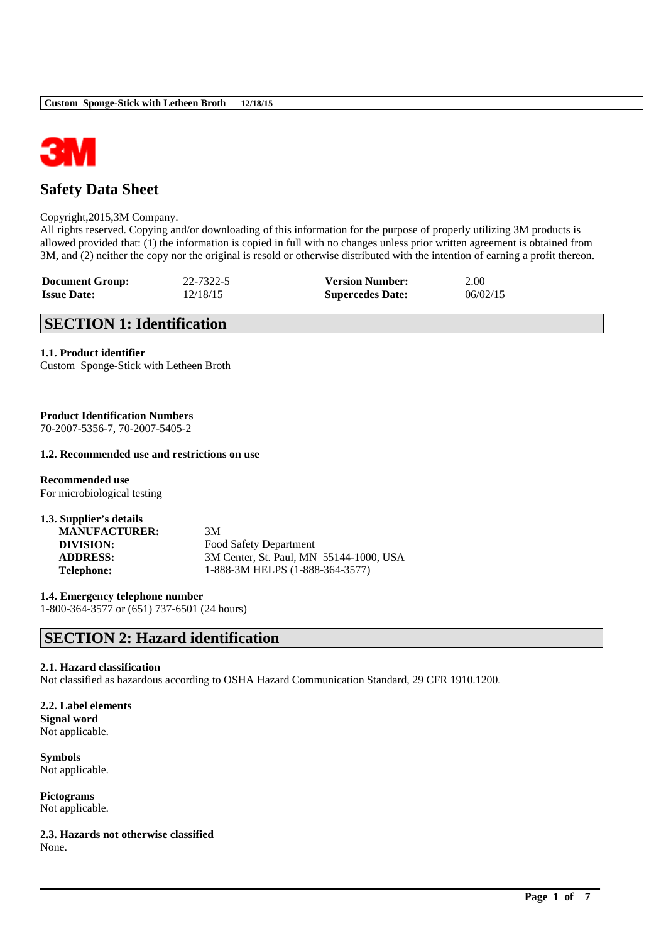

# **Safety Data Sheet**

#### Copyright,2015,3M Company.

All rights reserved. Copying and/or downloading of this information for the purpose of properly utilizing 3M products is allowed provided that: (1) the information is copied in full with no changes unless prior written agreement is obtained from 3M, and (2) neither the copy nor the original is resold or otherwise distributed with the intention of earning a profit thereon.

| <b>Document Group:</b> | 22-7322-5 | <b>Version Number:</b>  | 2.00     |
|------------------------|-----------|-------------------------|----------|
| <b>Issue Date:</b>     | 12/18/15  | <b>Supercedes Date:</b> | 06/02/15 |

## **SECTION 1: Identification**

## **1.1. Product identifier**

Custom Sponge-Stick with Letheen Broth

## **Product Identification Numbers**

70-2007-5356-7, 70-2007-5405-2

## **1.2. Recommended use and restrictions on use**

**Recommended use** For microbiological testing

| 1.3. Supplier's details |                                         |
|-------------------------|-----------------------------------------|
| <b>MANUFACTURER:</b>    | 3M                                      |
| DIVISION:               | Food Safety Department                  |
| <b>ADDRESS:</b>         | 3M Center, St. Paul, MN 55144-1000, USA |
| <b>Telephone:</b>       | 1-888-3M HELPS (1-888-364-3577)         |

**1.4. Emergency telephone number** 1-800-364-3577 or (651) 737-6501 (24 hours)

## **SECTION 2: Hazard identification**

#### **2.1. Hazard classification**

Not classified as hazardous according to OSHA Hazard Communication Standard, 29 CFR 1910.1200.

\_\_\_\_\_\_\_\_\_\_\_\_\_\_\_\_\_\_\_\_\_\_\_\_\_\_\_\_\_\_\_\_\_\_\_\_\_\_\_\_\_\_\_\_\_\_\_\_\_\_\_\_\_\_\_\_\_\_\_\_\_\_\_\_\_\_\_\_\_\_\_\_\_\_\_\_\_\_\_\_\_\_\_\_\_\_\_\_\_\_

## **2.2. Label elements Signal word** Not applicable.

**Symbols** Not applicable.

**Pictograms** Not applicable.

**2.3. Hazards not otherwise classified** None.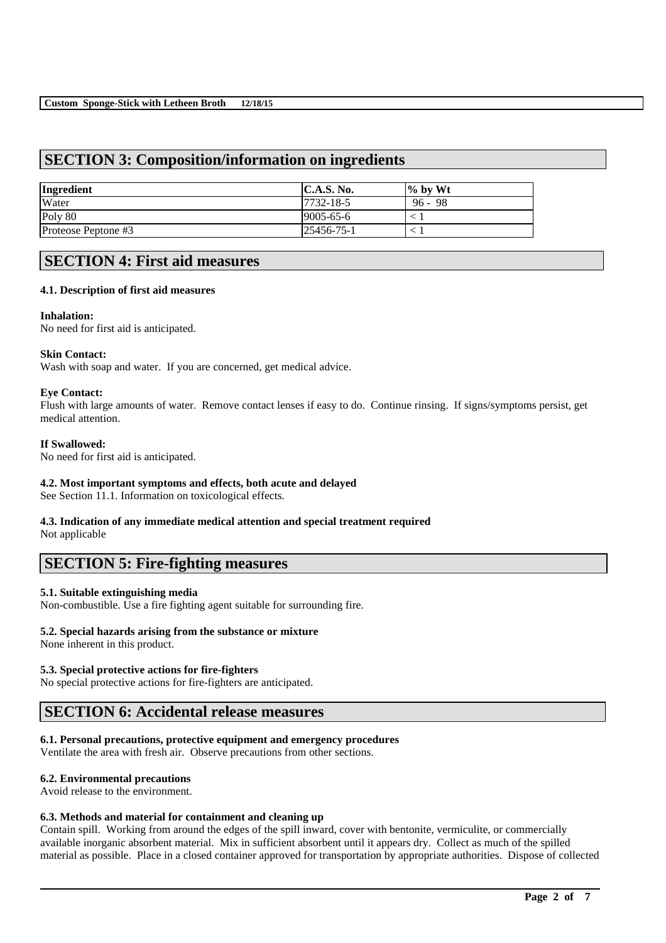# **SECTION 3: Composition/information on ingredients**

| Ingredient          | C.A.S. No.        | $\frac{1}{2}$ by Wt |
|---------------------|-------------------|---------------------|
| Water               | $17732 - 18 - 5$  | $96 - 98$           |
| Poly 80             | $ 9005 - 65 - 6 $ |                     |
| Proteose Peptone #3 | 25456-75-1        |                     |

## **SECTION 4: First aid measures**

## **4.1. Description of first aid measures**

## **Inhalation:**

No need for first aid is anticipated.

#### **Skin Contact:**

Wash with soap and water. If you are concerned, get medical advice.

## **Eye Contact:**

Flush with large amounts of water. Remove contact lenses if easy to do. Continue rinsing. If signs/symptoms persist, get medical attention.

## **If Swallowed:**

No need for first aid is anticipated.

## **4.2. Most important symptoms and effects, both acute and delayed**

See Section 11.1. Information on toxicological effects.

# **4.3. Indication of any immediate medical attention and special treatment required**

Not applicable

## **SECTION 5: Fire-fighting measures**

## **5.1. Suitable extinguishing media**

Non-combustible. Use a fire fighting agent suitable for surrounding fire.

#### **5.2. Special hazards arising from the substance or mixture**

None inherent in this product.

## **5.3. Special protective actions for fire-fighters**

No special protective actions for fire-fighters are anticipated.

## **SECTION 6: Accidental release measures**

## **6.1. Personal precautions, protective equipment and emergency procedures**

Ventilate the area with fresh air. Observe precautions from other sections.

#### **6.2. Environmental precautions**

Avoid release to the environment.

#### **6.3. Methods and material for containment and cleaning up**

Contain spill. Working from around the edges of the spill inward, cover with bentonite, vermiculite, or commercially available inorganic absorbent material. Mix in sufficient absorbent until it appears dry. Collect as much of the spilled material as possible. Place in a closed container approved for transportation by appropriate authorities. Dispose of collected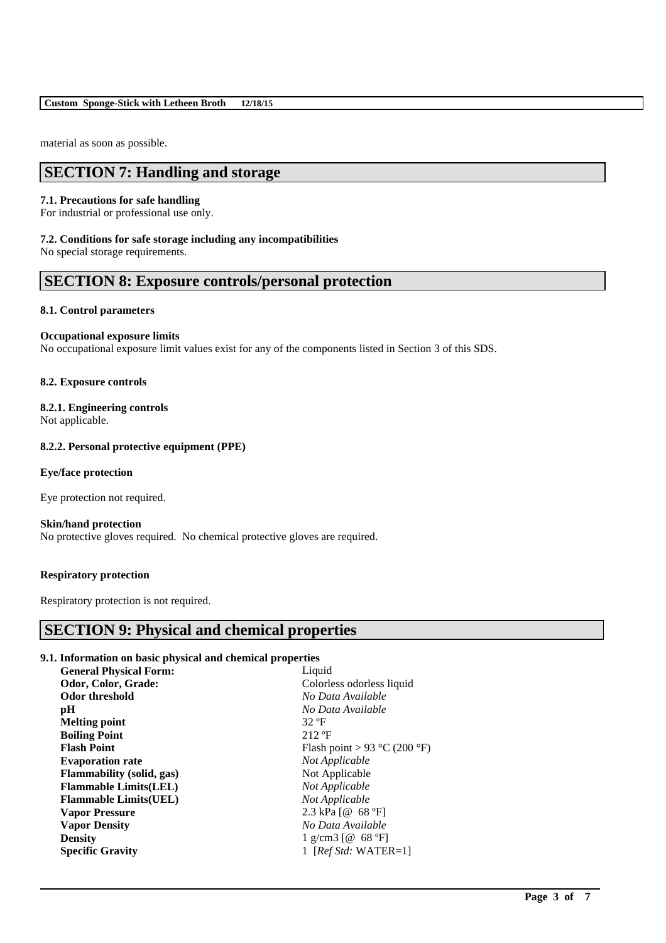material as soon as possible.

# **SECTION 7: Handling and storage**

## **7.1. Precautions for safe handling**

For industrial or professional use only.

#### **7.2. Conditions for safe storage including any incompatibilities**

No special storage requirements.

## **SECTION 8: Exposure controls/personal protection**

## **8.1. Control parameters**

## **Occupational exposure limits**

No occupational exposure limit values exist for any of the components listed in Section 3 of this SDS.

## **8.2. Exposure controls**

## **8.2.1. Engineering controls**

Not applicable.

## **8.2.2. Personal protective equipment (PPE)**

## **Eye/face protection**

Eye protection not required.

#### **Skin/hand protection**

No protective gloves required. No chemical protective gloves are required.

## **Respiratory protection**

Respiratory protection is not required.

## **SECTION 9: Physical and chemical properties**

## **9.1. Information on basic physical and chemical properties**

| Odor, Color, Grade:<br>Colorless odorless liquid        |
|---------------------------------------------------------|
|                                                         |
| No Data Available<br>Odor threshold                     |
| No Data Available<br>pH                                 |
| <b>Melting point</b><br>32 °F                           |
| $212 \text{ }^{\circ}F$<br><b>Boiling Point</b>         |
| Flash point > 93 °C (200 °F)<br><b>Flash Point</b>      |
| <b>Evaporation rate</b><br>Not Applicable               |
| Not Applicable<br><b>Flammability</b> (solid, gas)      |
| Not Applicable<br><b>Flammable Limits(LEL)</b>          |
| Not Applicable<br><b>Flammable Limits(UEL)</b>          |
| 2.3 kPa $[@ 68 °F]$<br><b>Vapor Pressure</b>            |
| No Data Available<br><b>Vapor Density</b>               |
| <b>Density</b><br>1 g/cm3 [ $@$ 68 °F]                  |
| 1 [ $Ref\,Std: \, WATER=1$ ]<br><b>Specific Gravity</b> |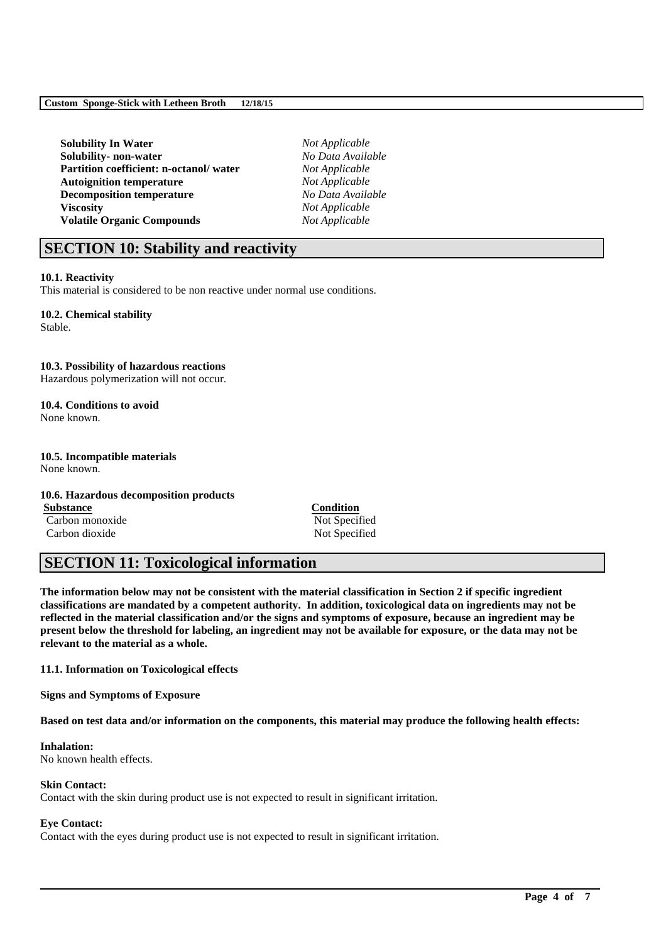**Solubility In Water** *Not Applicable* **Solubility- non-water** *No Data Available* **Partition coefficient: n-octanol/ water** *Not Applicable* **Autoignition temperature** *Not Applicable* **Decomposition temperature** *No Data Available* **Viscosity** *Not Applicable* **Volatile Organic Compounds** *Not Applicable*

# **SECTION 10: Stability and reactivity**

## **10.1. Reactivity**

This material is considered to be non reactive under normal use conditions.

## **10.2. Chemical stability**

Stable.

## **10.3. Possibility of hazardous reactions**

Hazardous polymerization will not occur.

#### **10.4. Conditions to avoid** None known.

**10.5. Incompatible materials** None known.

## **10.6. Hazardous decomposition products**

**Substance Condition** Carbon monoxide Not Specified Carbon dioxide Not Specified

# **SECTION 11: Toxicological information**

**The information below may not be consistent with the material classification in Section 2 if specific ingredient classifications are mandated by a competent authority. In addition, toxicological data on ingredients may not be reflected in the material classification and/or the signs and symptoms of exposure, because an ingredient may be present below the threshold for labeling, an ingredient may not be available for exposure, or the data may not be relevant to the material as a whole.**

**11.1. Information on Toxicological effects**

**Signs and Symptoms of Exposure**

**Based on test data and/or information on the components, this material may produce the following health effects:**

\_\_\_\_\_\_\_\_\_\_\_\_\_\_\_\_\_\_\_\_\_\_\_\_\_\_\_\_\_\_\_\_\_\_\_\_\_\_\_\_\_\_\_\_\_\_\_\_\_\_\_\_\_\_\_\_\_\_\_\_\_\_\_\_\_\_\_\_\_\_\_\_\_\_\_\_\_\_\_\_\_\_\_\_\_\_\_\_\_\_

#### **Inhalation:** No known health effects.

#### **Skin Contact:**

Contact with the skin during product use is not expected to result in significant irritation.

## **Eye Contact:**

Contact with the eyes during product use is not expected to result in significant irritation.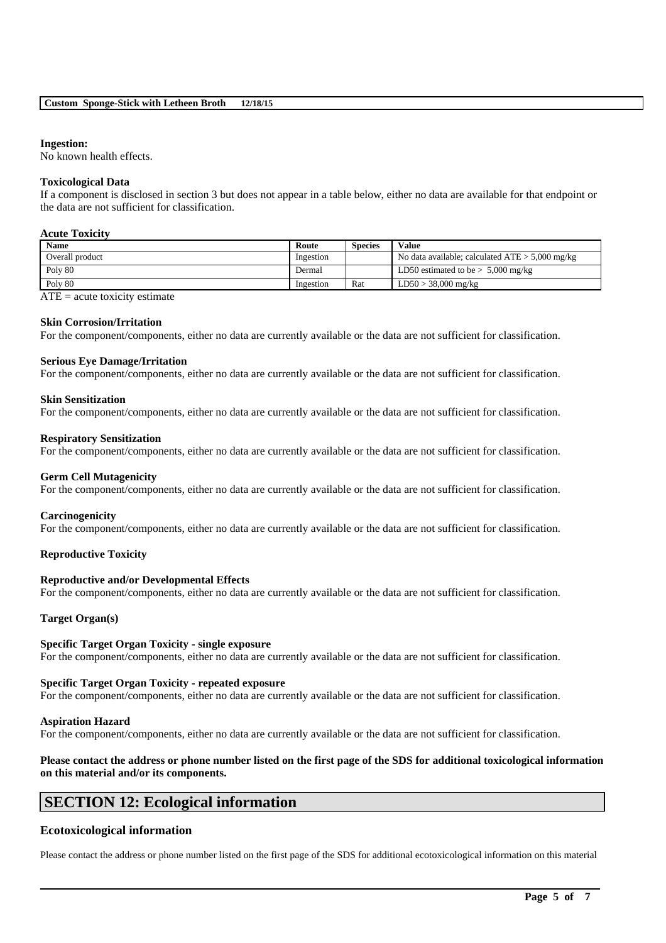## **Ingestion:**

No known health effects.

## **Toxicological Data**

If a component is disclosed in section 3 but does not appear in a table below, either no data are available for that endpoint or the data are not sufficient for classification.

#### **Acute Toxicity**

| <b>Name</b>     | Route     | <b>Species</b> | <b>Value</b>                                      |
|-----------------|-----------|----------------|---------------------------------------------------|
| Overall product | Ingestion |                | No data available; calculated $ATE > 5,000$ mg/kg |
| Poly 80         | Dermal    |                | LD50 estimated to be $> 5,000$ mg/kg              |
| Poly 80         | Ingestion | Rat            | $LD50 > 38,000$ mg/kg                             |

 $ATE = acute$  toxicity estimate

#### **Skin Corrosion/Irritation**

For the component/components, either no data are currently available or the data are not sufficient for classification.

#### **Serious Eye Damage/Irritation**

For the component/components, either no data are currently available or the data are not sufficient for classification.

#### **Skin Sensitization**

For the component/components, either no data are currently available or the data are not sufficient for classification.

#### **Respiratory Sensitization**

For the component/components, either no data are currently available or the data are not sufficient for classification.

#### **Germ Cell Mutagenicity**

For the component/components, either no data are currently available or the data are not sufficient for classification.

#### **Carcinogenicity**

For the component/components, either no data are currently available or the data are not sufficient for classification.

#### **Reproductive Toxicity**

#### **Reproductive and/or Developmental Effects**

For the component/components, either no data are currently available or the data are not sufficient for classification.

#### **Target Organ(s)**

## **Specific Target Organ Toxicity - single exposure**

For the component/components, either no data are currently available or the data are not sufficient for classification.

#### **Specific Target Organ Toxicity - repeated exposure**

For the component/components, either no data are currently available or the data are not sufficient for classification.

#### **Aspiration Hazard**

For the component/components, either no data are currently available or the data are not sufficient for classification.

## **Please contact the address or phone number listed on the first page of the SDS for additional toxicological information on this material and/or its components.**

## **SECTION 12: Ecological information**

## **Ecotoxicological information**

Please contact the address or phone number listed on the first page of the SDS for additional ecotoxicological information on this material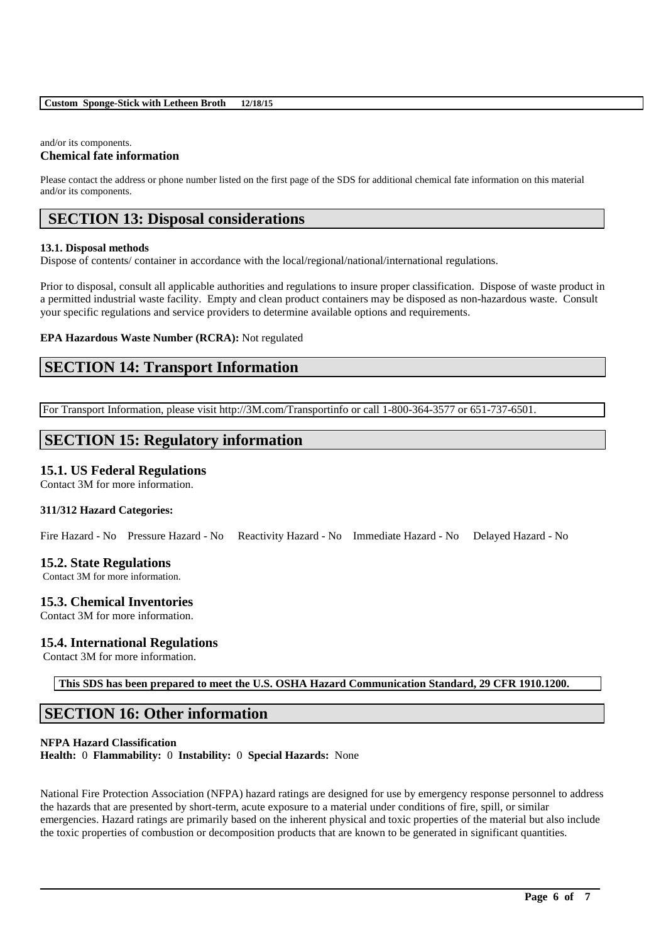## and/or its components.

## **Chemical fate information**

Please contact the address or phone number listed on the first page of the SDS for additional chemical fate information on this material and/or its components.

# **SECTION 13: Disposal considerations**

## **13.1. Disposal methods**

Dispose of contents/ container in accordance with the local/regional/national/international regulations.

Prior to disposal, consult all applicable authorities and regulations to insure proper classification. Dispose of waste product in a permitted industrial waste facility. Empty and clean product containers may be disposed as non-hazardous waste. Consult your specific regulations and service providers to determine available options and requirements.

## **EPA Hazardous Waste Number (RCRA):** Not regulated

# **SECTION 14: Transport Information**

For Transport Information, please visit http://3M.com/Transportinfo or call 1-800-364-3577 or 651-737-6501.

# **SECTION 15: Regulatory information**

## **15.1. US Federal Regulations**

Contact 3M for more information.

## **311/312 Hazard Categories:**

Fire Hazard - No Pressure Hazard - No Reactivity Hazard - No Immediate Hazard - No Delayed Hazard - No

## **15.2. State Regulations**

Contact 3M for more information.

## **15.3. Chemical Inventories**

Contact 3M for more information.

## **15.4. International Regulations**

Contact 3M for more information.

**This SDS has been prepared to meet the U.S. OSHA Hazard Communication Standard, 29 CFR 1910.1200.**

## **SECTION 16: Other information**

## **NFPA Hazard Classification**

**Health:** 0 **Flammability:** 0 **Instability:** 0 **Special Hazards:** None

National Fire Protection Association (NFPA) hazard ratings are designed for use by emergency response personnel to address the hazards that are presented by short-term, acute exposure to a material under conditions of fire, spill, or similar emergencies. Hazard ratings are primarily based on the inherent physical and toxic properties of the material but also include the toxic properties of combustion or decomposition products that are known to be generated in significant quantities.